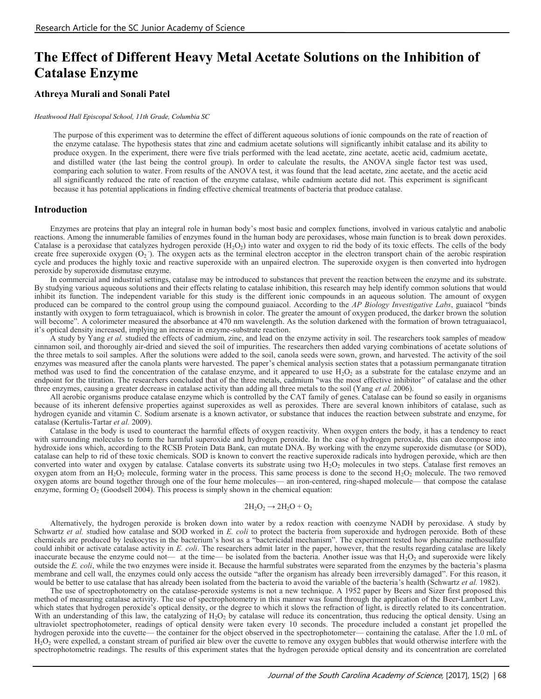# **The Effect of Different Heavy Metal Acetate Solutions on the Inhibition of Catalase Enzyme**

#### **Athreya Murali and Sonali Patel**

#### *Heathwood Hall Episcopal School, 11th Grade, Columbia SC*

The purpose of this experiment was to determine the effect of different aqueous solutions of ionic compounds on the rate of reaction of the enzyme catalase. The hypothesis states that zinc and cadmium acetate solutions will significantly inhibit catalase and its ability to produce oxygen. In the experiment, there were five trials performed with the lead acetate, zinc acetate, acetic acid, cadmium acetate, and distilled water (the last being the control group). In order to calculate the results, the ANOVA single factor test was used, comparing each solution to water. From results of the ANOVA test, it was found that the lead acetate, zinc acetate, and the acetic acid all significantly reduced the rate of reaction of the enzyme catalase, while cadmium acetate did not. This experiment is significant because it has potential applications in finding effective chemical treatments of bacteria that produce catalase.

#### **Introduction**

Enzymes are proteins that play an integral role in human body's most basic and complex functions, involved in various catalytic and anabolic reactions. Among the innumerable families of enzymes found in the human body are peroxidases, whose main function is to break down peroxides. Catalase is a peroxidase that catalyzes hydrogen peroxide  $(H_2O_2)$  into water and oxygen to rid the body of its toxic effects. The cells of the body create free superoxide oxygen  $(O_2)$ . The oxygen acts as the terminal electron acceptor in the electron transport chain of the aerobic respiration cycle and produces the highly toxic and reactive superoxide with an unpaired electron. The superoxide oxygen is then converted into hydrogen peroxide by superoxide dismutase enzyme.

In commercial and industrial settings, catalase may be introduced to substances that prevent the reaction between the enzyme and its substrate. By studying various aqueous solutions and their effects relating to catalase inhibition, this research may help identify common solutions that would inhibit its function. The independent variable for this study is the different ionic compounds in an aqueous solution. The amount of oxygen produced can be compared to the control group using the compound guaiacol. According to the *AP Biology Investigative Labs*, guaiacol "binds instantly with oxygen to form tetraguaiacol, which is brownish in color. The greater the amount of oxygen produced, the darker brown the solution will become". A colorimeter measured the absorbance at 470 nm wavelength. As the solution darkened with the formation of brown tetraguaiacol, it's optical density increased, implying an increase in enzyme-substrate reaction.

A study by Yang *et al.* studied the effects of cadmium, zinc, and lead on the enzyme activity in soil. The researchers took samples of meadow cinnamon soil, and thoroughly air-dried and sieved the soil of impurities. The researchers then added varying combinations of acetate solutions of the three metals to soil samples. After the solutions were added to the soil, canola seeds were sown, grown, and harvested. The activity of the soil enzymes was measured after the canola plants were harvested. The paper's chemical analysis section states that a potassium permanganate titration method was used to find the concentration of the catalase enzyme, and it appeared to use  $H_2O_2$  as a substrate for the catalase enzyme and an endpoint for the titration. The researchers concluded that of the three metals, cadmium "was the most effective inhibitor" of catalase and the other three enzymes, causing a greater decrease in catalase activity than adding all three metals to the soil (Yang *et al.* 2006).

All aerobic organisms produce catalase enzyme which is controlled by the CAT family of genes. Catalase can be found so easily in organisms because of its inherent defensive properties against superoxides as well as peroxides. There are several known inhibitors of catalase, such as hydrogen cyanide and vitamin C. Sodium arsenate is a known activator, or substance that induces the reaction between substrate and enzyme, for catalase (Kertulis-Tartar *et al.* 2009).

Catalase in the body is used to counteract the harmful effects of oxygen reactivity. When oxygen enters the body, it has a tendency to react with surrounding molecules to form the harmful superoxide and hydrogen peroxide. In the case of hydrogen peroxide, this can decompose into hydroxide ions which, according to the RCSB Protein Data Bank, can mutate DNA. By working with the enzyme superoxide dismutase (or SOD), catalase can help to rid of these toxic chemicals. SOD is known to convert the reactive superoxide radicals into hydrogen peroxide, which are then converted into water and oxygen by catalase. Catalase converts its substrate using two  $H_2O_2$  molecules in two steps. Catalase first removes an oxygen atom from an  $H_2O_2$  molecule, forming water in the process. This same process is done to the second  $H_2O_2$  molecule. The two removed oxygen atoms are bound together through one of the four heme molecules— an iron-centered, ring-shaped molecule— that compose the catalase enzyme, forming  $O_2$  (Goodsell 2004). This process is simply shown in the chemical equation:

#### $2H_2O_2 \rightarrow 2H_2O + O_2$

Alternatively, the hydrogen peroxide is broken down into water by a redox reaction with coenzyme NADH by peroxidase. A study by Schwartz *et al.* studied how catalase and SOD worked in *E. coli* to protect the bacteria from superoxide and hydrogen peroxide. Both of these chemicals are produced by leukocytes in the bacterium's host as a "bactericidal mechanism". The experiment tested how phenazine methosulfate could inhibit or activate catalase activity in *E. coli*. The researchers admit later in the paper, however, that the results regarding catalase are likely inaccurate because the enzyme could not— at the time— be isolated from the bacteria. Another issue was that  $H_2O_2$  and superoxide were likely outside the *E. coli*, while the two enzymes were inside it. Because the harmful substrates were separated from the enzymes by the bacteria's plasma membrane and cell wall, the enzymes could only access the outside "after the organism has already been irreversibly damaged". For this reason, it would be better to use catalase that has already been isolated from the bacteria to avoid the variable of the bacteria's health (Schwartz *et al.* 1982).

The use of spectrophotometry on the catalase-peroxide systems is not a new technique. A 1952 paper by Beers and Sizer first proposed this method of measuring catalase activity. The use of spectrophotometry in this manner was found through the application of the Beer-Lambert Law, which states that hydrogen peroxide's optical density, or the degree to which it slows the refraction of light, is directly related to its concentration. With an understanding of this law, the catalyzing of  $H_2O_2$  by catalase will reduce its concentration, thus reducing the optical density. Using an ultraviolet spectrophotometer, readings of optical density were taken every 10 seconds. The procedure included a constant jet propelled the hydrogen peroxide into the cuvette— the container for the object observed in the spectrophotometer— containing the catalase. After the 1.0 mL of  $H_2O_2$  were expelled, a constant stream of purified air blew over the cuvette to remove any oxygen bubbles that would otherwise interfere with the spectrophotometric readings. The results of this experiment states that the hydrogen peroxide optical density and its concentration are correlated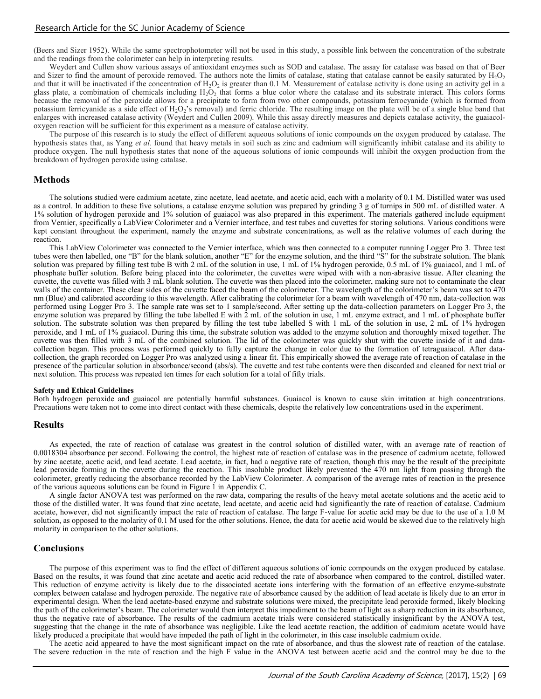(Beers and Sizer 1952). While the same spectrophotometer will not be used in this study, a possible link between the concentration of the substrate and the readings from the colorimeter can help in interpreting results.

Weydert and Cullen show various assays of antioxidant enzymes such as SOD and catalase. The assay for catalase was based on that of Beer and Sizer to find the amount of peroxide removed. The authors note the limits of catalase, stating that catalase cannot be easily saturated by  $H_2O_2$ and that it will be inactivated if the concentration of  $H_2O_2$  is greater than 0.1 M. Measurement of catalase activity is done using an activity gel in a glass plate, a combination of chemicals including  $H_2O_2$  that forms a blue color where the catalase and its substrate interact. This colors forms because the removal of the peroxide allows for a precipitate to form from two other compounds, potassium ferrocyanide (which is formed from potassium ferricyanide as a side effect of  $H_2O_2$ 's removal) and ferric chloride. The resulting image on the plate will be of a single blue band that enlarges with increased catalase activity (Weydert and Cullen 2009). While this assay directly measures and depicts catalase activity, the guaiacoloxygen reaction will be sufficient for this experiment as a measure of catalase activity.

The purpose of this research is to study the effect of different aqueous solutions of ionic compounds on the oxygen produced by catalase. The hypothesis states that, as Yang *et al.* found that heavy metals in soil such as zinc and cadmium will significantly inhibit catalase and its ability to produce oxygen. The null hypothesis states that none of the aqueous solutions of ionic compounds will inhibit the oxygen production from the breakdown of hydrogen peroxide using catalase.

#### **Methods**

The solutions studied were cadmium acetate, zinc acetate, lead acetate, and acetic acid, each with a molarity of 0.1 M. Distilled water was used as a control. In addition to these five solutions, a catalase enzyme solution was prepared by grinding 3 g of turnips in 500 mL of distilled water. A 1% solution of hydrogen peroxide and 1% solution of guaiacol was also prepared in this experiment. The materials gathered include equipment from Vernier, specifically a LabView Colorimeter and a Vernier interface, and test tubes and cuvettes for storing solutions. Various conditions were kept constant throughout the experiment, namely the enzyme and substrate concentrations, as well as the relative volumes of each during the reaction.

This LabView Colorimeter was connected to the Vernier interface, which was then connected to a computer running Logger Pro 3. Three test tubes were then labelled, one "B" for the blank solution, another "E" for the enzyme solution, and the third "S" for the substrate solution. The blank solution was prepared by filling test tube B with 2 mL of the solution in use, 1 mL of 1% hydrogen peroxide, 0.5 mL of 1% guaiacol, and 1 mL of phosphate buffer solution. Before being placed into the colorimeter, the cuvettes were wiped with with a non-abrasive tissue. After cleaning the cuvette, the cuvette was filled with 3 mL blank solution. The cuvette was then placed into the colorimeter, making sure not to contaminate the clear walls of the container. These clear sides of the cuvette faced the beam of the colorimeter. The wavelength of the colorimeter's beam was set to 470 nm (Blue) and calibrated according to this wavelength. After calibrating the colorimeter for a beam with wavelength of 470 nm, data-collection was performed using Logger Pro 3. The sample rate was set to 1 sample/second. After setting up the data-collection parameters on Logger Pro 3, the enzyme solution was prepared by filling the tube labelled E with  $2 \text{ mL}$  of the solution in use, 1 mL enzyme extract, and 1 mL of phosphate buffer solution. The substrate solution was then prepared by filling the test tube labelled S with 1 mL of the solution in use, 2 mL of 1% hydrogen peroxide, and 1 mL of 1% guaiacol. During this time, the substrate solution was added to the enzyme solution and thoroughly mixed together. The cuvette was then filled with 3 mL of the combined solution. The lid of the colorimeter was quickly shut with the cuvette inside of it and datacollection began. This process was performed quickly to fully capture the change in color due to the formation of tetraguaiacol. After datacollection, the graph recorded on Logger Pro was analyzed using a linear fit. This empirically showed the average rate of reaction of catalase in the presence of the particular solution in absorbance/second (abs/s). The cuvette and test tube contents were then discarded and cleaned for next trial or next solution. This process was repeated ten times for each solution for a total of fifty trials.

#### **Safety and Ethical Guidelines**

Both hydrogen peroxide and guaiacol are potentially harmful substances. Guaiacol is known to cause skin irritation at high concentrations. Precautions were taken not to come into direct contact with these chemicals, despite the relatively low concentrations used in the experiment.

#### **Results**

As expected, the rate of reaction of catalase was greatest in the control solution of distilled water, with an average rate of reaction of 0.0018304 absorbance per second. Following the control, the highest rate of reaction of catalase was in the presence of cadmium acetate, followed by zinc acetate, acetic acid, and lead acetate. Lead acetate, in fact, had a negative rate of reaction, though this may be the result of the precipitate lead peroxide forming in the cuvette during the reaction. This insoluble product likely prevented the 470 nm light from passing through the colorimeter, greatly reducing the absorbance recorded by the LabView Colorimeter. A comparison of the average rates of reaction in the presence of the various aqueous solutions can be found in Figure 1 in Appendix C.

A single factor ANOVA test was performed on the raw data, comparing the results of the heavy metal acetate solutions and the acetic acid to those of the distilled water. It was found that zinc acetate, lead acetate, and acetic acid had significantly the rate of reaction of catalase. Cadmium acetate, however, did not significantly impact the rate of reaction of catalase. The large F-value for acetic acid may be due to the use of a 1.0 M solution, as opposed to the molarity of 0.1 M used for the other solutions. Hence, the data for acetic acid would be skewed due to the relatively high molarity in comparison to the other solutions.

#### **Conclusions**

The purpose of this experiment was to find the effect of different aqueous solutions of ionic compounds on the oxygen produced by catalase. Based on the results, it was found that zinc acetate and acetic acid reduced the rate of absorbance when compared to the control, distilled water. This reduction of enzyme activity is likely due to the dissociated acetate ions interfering with the formation of an effective enzyme-substrate complex between catalase and hydrogen peroxide. The negative rate of absorbance caused by the addition of lead acetate is likely due to an error in experimental design. When the lead acetate-based enzyme and substrate solutions were mixed, the precipitate lead peroxide formed, likely blocking the path of the colorimeter's beam. The colorimeter would then interpret this impediment to the beam of light as a sharp reduction in its absorbance, thus the negative rate of absorbance. The results of the cadmium acetate trials were considered statistically insignificant by the ANOVA test, suggesting that the change in the rate of absorbance was negligible. Like the lead acetate reaction, the addition of cadmium acetate would have likely produced a precipitate that would have impeded the path of light in the colorimeter, in this case insoluble cadmium oxide.

The acetic acid appeared to have the most significant impact on the rate of absorbance, and thus the slowest rate of reaction of the catalase. The severe reduction in the rate of reaction and the high F value in the ANOVA test between acetic acid and the control may be due to the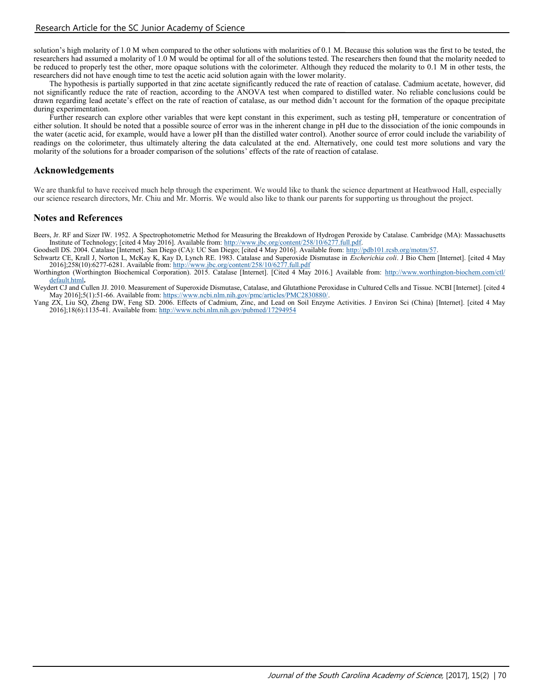solution's high molarity of 1.0 M when compared to the other solutions with molarities of 0.1 M. Because this solution was the first to be tested, the researchers had assumed a molarity of 1.0 M would be optimal for all of the solutions tested. The researchers then found that the molarity needed to be reduced to properly test the other, more opaque solutions with the colorimeter. Although they reduced the molarity to 0.1 M in other tests, the researchers did not have enough time to test the acetic acid solution again with the lower molarity.

The hypothesis is partially supported in that zinc acetate significantly reduced the rate of reaction of catalase. Cadmium acetate, however, did not significantly reduce the rate of reaction, according to the ANOVA test when compared to distilled water. No reliable conclusions could be drawn regarding lead acetate's effect on the rate of reaction of catalase, as our method didn't account for the formation of the opaque precipitate during experimentation.

Further research can explore other variables that were kept constant in this experiment, such as testing pH, temperature or concentration of either solution. It should be noted that a possible source of error was in the inherent change in pH due to the dissociation of the ionic compounds in the water (acetic acid, for example, would have a lower pH than the distilled water control). Another source of error could include the variability of readings on the colorimeter, thus ultimately altering the data calculated at the end. Alternatively, one could test more solutions and vary the molarity of the solutions for a broader comparison of the solutions' effects of the rate of reaction of catalase.

### **Acknowledgements**

We are thankful to have received much help through the experiment. We would like to thank the science department at Heathwood Hall, especially our science research directors, Mr. Chiu and Mr. Morris. We would also like to thank our parents for supporting us throughout the project.

### **Notes and References**

Beers, Jr. RF and Sizer IW. 1952. A Spectrophotometric Method for Measuring the Breakdown of Hydrogen Peroxide by Catalase. Cambridge (MA): Massachusetts Institute of Technology; [cited 4 May 2016]. Available from: [http://www.jbc.org/content/258/10/6277.full.pdf.](http://www.jbc.org/content/258/10/6277.full.pdf)

Goodsell DS. 2004. Catalase [Internet]. San Diego (CA): UC San Diego; [cited 4 May 2016]. Available from: [http://pdb101.rcsb.org/motm/57.](http://pdb101.rcsb.org/motm/57)

Schwartz CE, Krall J, Norton L, McKay K, Kay D, Lynch RE. 1983. Catalase and Superoxide Dismutase in *Escherichia coli*. J Bio Chem [Internet]. [cited 4 May 2016];258(10):6277-6281. Available from: <http://www.jbc.org/content/258/10/6277.full.pdf>

Worthington (Worthington Biochemical Corporation). 2015. Catalase [Internet]. [Cited 4 May 2016.] Available from: [http://www.worthington](http://www.worthington-biochem.com/ctl/default.html)-biochem.com/ctl/ [default.html](http://www.worthington-biochem.com/ctl/default.html)**.**

Weydert CJ and Cullen JJ. 2010. Measurement of Superoxide Dismutase, Catalase, and Glutathione Peroxidase in Cultured Cells and Tissue. NCBI [Internet]. [cited 4 May 2016];5(1):51-66. Available from: https://www.ncbi.nlm.nih.gov/pmc/articles/PMC2830880/

Yang ZX, Liu SQ, Zheng DW, Feng SD. 2006. Effects of Cadmium, Zinc, and Lead on Soil Enzyme Activities. J Environ Sci (China) [Internet]. [cited 4 May 2016];18(6):1135-41. Available from:<http://www.ncbi.nlm.nih.gov/pubmed/17294954>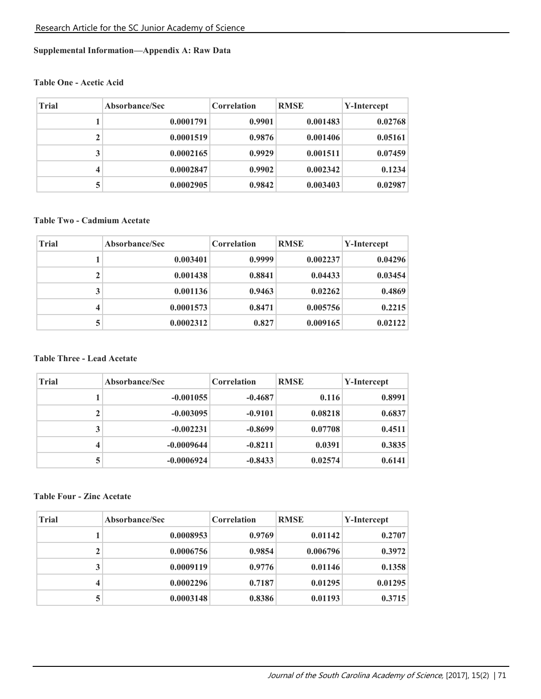### **Supplemental Information—Appendix A: Raw Data**

### **Table One - Acetic Acid**

| <b>Trial</b> | Absorbance/Sec | <b>Correlation</b> | <b>RMSE</b> | Y-Intercept |
|--------------|----------------|--------------------|-------------|-------------|
|              | 0.0001791      | 0.9901             | 0.001483    | 0.02768     |
| $\mathbf{2}$ | 0.0001519      | 0.9876             | 0.001406    | 0.05161     |
| 3            | 0.0002165      | 0.9929             | 0.001511    | 0.07459     |
| 4            | 0.0002847      | 0.9902             | 0.002342    | 0.1234      |
| 5            | 0.0002905      | 0.9842             | 0.003403    | 0.02987     |

### **Table Two - Cadmium Acetate**

| <b>Trial</b> | Absorbance/Sec | <b>Correlation</b> | <b>RMSE</b> | Y-Intercept |
|--------------|----------------|--------------------|-------------|-------------|
|              | 0.003401       | 0.9999             | 0.002237    | 0.04296     |
| 2            | 0.001438       | 0.8841             | 0.04433     | 0.03454     |
| 3            | 0.001136       | 0.9463             | 0.02262     | 0.4869      |
| 4            | 0.0001573      | 0.8471             | 0.005756    | 0.2215      |
| 5            | 0.0002312      | 0.827              | 0.009165    | 0.02122     |

### **Table Three - Lead Acetate**

| <b>Trial</b>            | Absorbance/Sec | Correlation | <b>RMSE</b> | Y-Intercept |  |
|-------------------------|----------------|-------------|-------------|-------------|--|
|                         | $-0.001055$    | $-0.4687$   | 0.116       | 0.8991      |  |
| $\mathbf{2}$            | $-0.003095$    | $-0.9101$   | 0.08218     | 0.6837      |  |
| 3                       | $-0.002231$    | $-0.8699$   | 0.07708     | 0.4511      |  |
| $\overline{\mathbf{4}}$ | $-0.0009644$   | $-0.8211$   | 0.0391      | 0.3835      |  |
| 5                       | $-0.0006924$   | $-0.8433$   | 0.02574     | 0.6141      |  |

## **Table Four - Zinc Acetate**

| <b>Trial</b> | Absorbance/Sec | Correlation | <b>RMSE</b> | Y-Intercept |  |
|--------------|----------------|-------------|-------------|-------------|--|
|              | 0.0008953      | 0.9769      | 0.01142     | 0.2707      |  |
| $\mathbf{2}$ | 0.0006756      | 0.9854      | 0.006796    | 0.3972      |  |
| 3            | 0.0009119      | 0.9776      | 0.01146     | 0.1358      |  |
| 4            | 0.0002296      | 0.7187      | 0.01295     | 0.01295     |  |
| 5            | 0.0003148      | 0.8386      | 0.01193     | 0.3715      |  |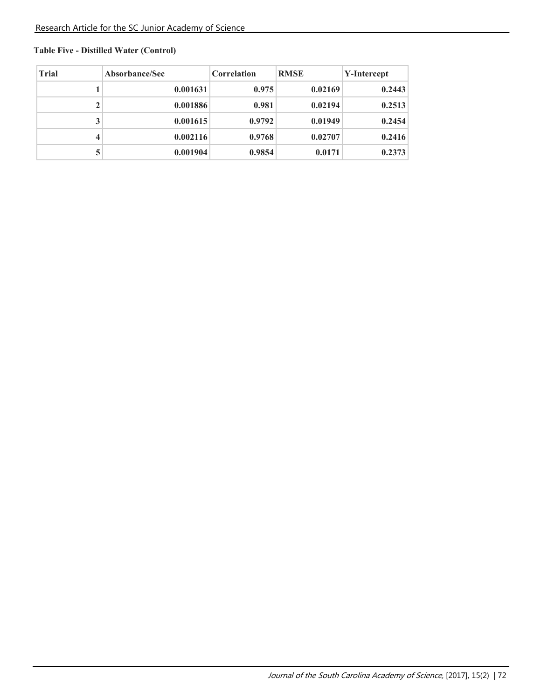# **Table Five - Distilled Water (Control)**

| <b>Trial</b> | Absorbance/Sec | <b>Correlation</b> | <b>RMSE</b> | Y-Intercept |
|--------------|----------------|--------------------|-------------|-------------|
|              | 0.001631       | 0.975              | 0.02169     | 0.2443      |
| $\mathbf 2$  | 0.001886       | 0.981              | 0.02194     | 0.2513      |
| 3            | 0.001615       | 0.9792             | 0.01949     | 0.2454      |
| 4            | 0.002116       | 0.9768             | 0.02707     | 0.2416      |
| 5            | 0.001904       | 0.9854             | 0.0171      | 0.2373      |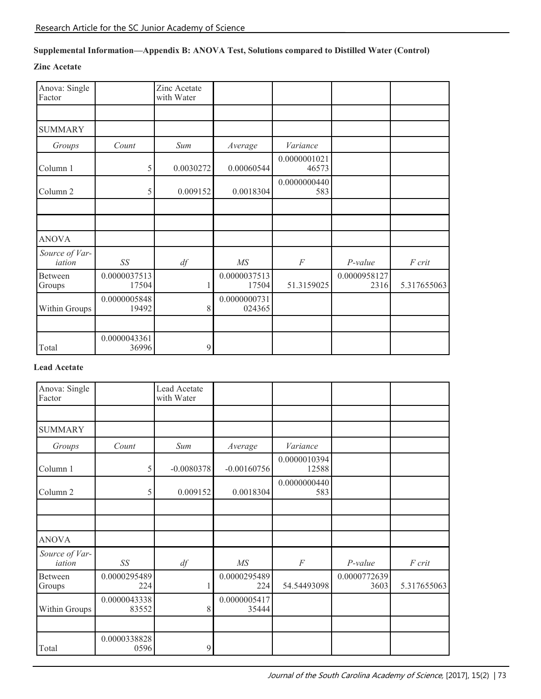# **Supplemental Information—Appendix B: ANOVA Test, Solutions compared to Distilled Water (Control)**

### **Zinc Acetate**

| Anova: Single<br>Factor  |                       | Zinc Acetate<br>with Water |                        |                       |                      |             |
|--------------------------|-----------------------|----------------------------|------------------------|-----------------------|----------------------|-------------|
|                          |                       |                            |                        |                       |                      |             |
| <b>SUMMARY</b>           |                       |                            |                        |                       |                      |             |
| Groups                   | Count                 | Sum                        | Average                | Variance              |                      |             |
| Column 1                 | 5                     | 0.0030272                  | 0.00060544             | 0.0000001021<br>46573 |                      |             |
| Column <sub>2</sub>      | 5                     | 0.009152                   | 0.0018304              | 0.0000000440<br>583   |                      |             |
|                          |                       |                            |                        |                       |                      |             |
|                          |                       |                            |                        |                       |                      |             |
| <b>ANOVA</b>             |                       |                            |                        |                       |                      |             |
| Source of Var-<br>iation | SS                    | df                         | $M\!S$                 | F                     | $P-value$            | F crit      |
| Between<br>Groups        | 0.0000037513<br>17504 | 1                          | 0.0000037513<br>17504  | 51.3159025            | 0.0000958127<br>2316 | 5.317655063 |
| Within Groups            | 0.0000005848<br>19492 | 8                          | 0.0000000731<br>024365 |                       |                      |             |
|                          |                       |                            |                        |                       |                      |             |
| Total                    | 0.0000043361<br>36996 | 9                          |                        |                       |                      |             |

### **Lead Acetate**

| Anova: Single<br>Factor  |                       | Lead Acetate<br>with Water |                       |                       |                      |             |
|--------------------------|-----------------------|----------------------------|-----------------------|-----------------------|----------------------|-------------|
|                          |                       |                            |                       |                       |                      |             |
| <b>SUMMARY</b>           |                       |                            |                       |                       |                      |             |
| Groups                   | Count                 | Sum                        | Average               | Variance              |                      |             |
| Column 1                 | 5                     | $-0.0080378$               | $-0.00160756$         | 0.0000010394<br>12588 |                      |             |
| Column <sub>2</sub>      | 5                     | 0.009152                   | 0.0018304             | 0.0000000440<br>583   |                      |             |
|                          |                       |                            |                       |                       |                      |             |
|                          |                       |                            |                       |                       |                      |             |
| <b>ANOVA</b>             |                       |                            |                       |                       |                      |             |
| Source of Var-<br>iation | SS                    | df                         | MS                    | $\cal F$              | P-value              | F crit      |
| Between<br>Groups        | 0.0000295489<br>224   |                            | 0.0000295489<br>224   | 54.54493098           | 0.0000772639<br>3603 | 5.317655063 |
| Within Groups            | 0.0000043338<br>83552 | 8                          | 0.0000005417<br>35444 |                       |                      |             |
|                          |                       |                            |                       |                       |                      |             |
| Total                    | 0.0000338828<br>0596  | 9                          |                       |                       |                      |             |